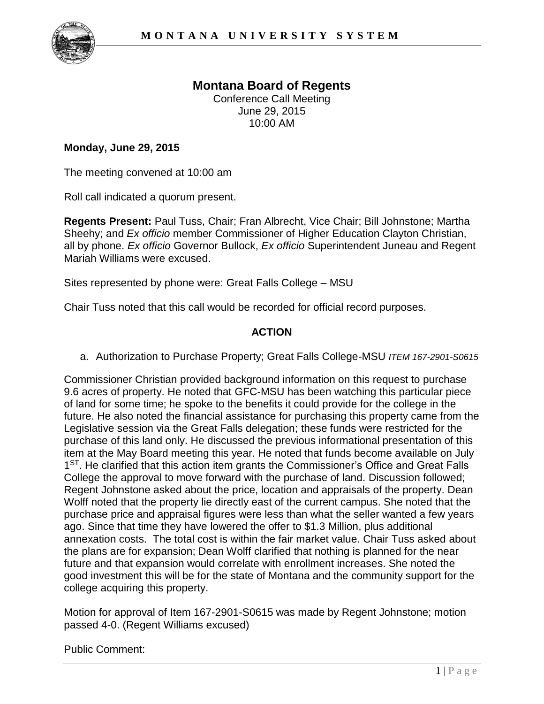

## **Montana Board of Regents**  Conference Call Meeting June 29, 2015 10:00 AM

## **Monday, June 29, 2015**

The meeting convened at 10:00 am

Roll call indicated a quorum present.

**Regents Present:** Paul Tuss, Chair; Fran Albrecht, Vice Chair; Bill Johnstone; Martha Sheehy; and *Ex officio* member Commissioner of Higher Education Clayton Christian, all by phone. *Ex officio* Governor Bullock, *Ex officio* Superintendent Juneau and Regent Mariah Williams were excused.

Sites represented by phone were: Great Falls College – MSU

Chair Tuss noted that this call would be recorded for official record purposes.

## **ACTION**

a. Authorization to Purchase Property; Great Falls College-MSU *ITEM 167-2901-S0615*

Commissioner Christian provided background information on this request to purchase 9.6 acres of property. He noted that GFC-MSU has been watching this particular piece of land for some time; he spoke to the benefits it could provide for the college in the future. He also noted the financial assistance for purchasing this property came from the Legislative session via the Great Falls delegation; these funds were restricted for the purchase of this land only. He discussed the previous informational presentation of this item at the May Board meeting this year. He noted that funds become available on July 1<sup>ST</sup>. He clarified that this action item grants the Commissioner's Office and Great Falls College the approval to move forward with the purchase of land. Discussion followed; Regent Johnstone asked about the price, location and appraisals of the property. Dean Wolff noted that the property lie directly east of the current campus. She noted that the purchase price and appraisal figures were less than what the seller wanted a few years ago. Since that time they have lowered the offer to \$1.3 Million, plus additional annexation costs. The total cost is within the fair market value. Chair Tuss asked about the plans are for expansion; Dean Wolff clarified that nothing is planned for the near future and that expansion would correlate with enrollment increases. She noted the good investment this will be for the state of Montana and the community support for the college acquiring this property.

Motion for approval of Item 167-2901-S0615 was made by Regent Johnstone; motion passed 4-0. (Regent Williams excused)

Public Comment: